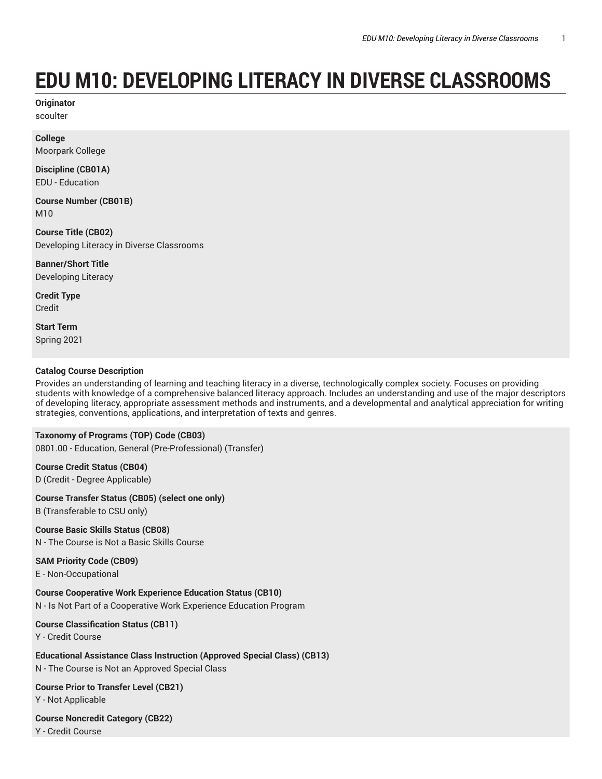# **EDU M10: DEVELOPING LITERACY IN DIVERSE CLASSROOMS**

**Originator** scoulter

**College**

Moorpark College

**Discipline (CB01A)** EDU - Education

**Course Number (CB01B)** M10

**Course Title (CB02)** Developing Literacy in Diverse Classrooms

**Banner/Short Title** Developing Literacy

**Credit Type** Credit

**Start Term** Spring 2021

#### **Catalog Course Description**

Provides an understanding of learning and teaching literacy in a diverse, technologically complex society. Focuses on providing students with knowledge of a comprehensive balanced literacy approach. Includes an understanding and use of the major descriptors of developing literacy, appropriate assessment methods and instruments, and a developmental and analytical appreciation for writing strategies, conventions, applications, and interpretation of texts and genres.

**Taxonomy of Programs (TOP) Code (CB03)**

0801.00 - Education, General (Pre-Professional) (Transfer)

**Course Credit Status (CB04)** D (Credit - Degree Applicable)

**Course Transfer Status (CB05) (select one only)**

B (Transferable to CSU only)

**Course Basic Skills Status (CB08)**

N - The Course is Not a Basic Skills Course

### **SAM Priority Code (CB09)**

E - Non-Occupational

**Course Cooperative Work Experience Education Status (CB10)**

N - Is Not Part of a Cooperative Work Experience Education Program

#### **Course Classification Status (CB11)**

Y - Credit Course

**Educational Assistance Class Instruction (Approved Special Class) (CB13)** N - The Course is Not an Approved Special Class

**Course Prior to Transfer Level (CB21)** Y - Not Applicable

**Course Noncredit Category (CB22)** Y - Credit Course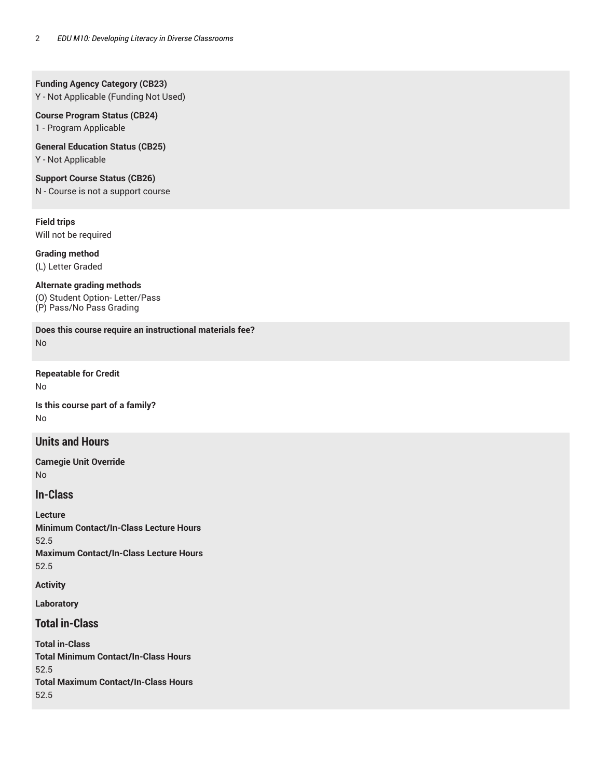#### **Funding Agency Category (CB23)**

Y - Not Applicable (Funding Not Used)

#### **Course Program Status (CB24)** 1 - Program Applicable

**General Education Status (CB25)**

Y - Not Applicable

**Support Course Status (CB26)**

N - Course is not a support course

**Field trips** Will not be required

**Grading method**

(L) Letter Graded

#### **Alternate grading methods**

(O) Student Option- Letter/Pass (P) Pass/No Pass Grading

**Does this course require an instructional materials fee?** No

**Repeatable for Credit** No

**Is this course part of a family?** No

### **Units and Hours**

**Carnegie Unit Override** No

### **In-Class**

**Lecture Minimum Contact/In-Class Lecture Hours** 52.5 **Maximum Contact/In-Class Lecture Hours** 52.5

**Activity**

**Laboratory**

### **Total in-Class**

**Total in-Class Total Minimum Contact/In-Class Hours** 52.5 **Total Maximum Contact/In-Class Hours** 52.5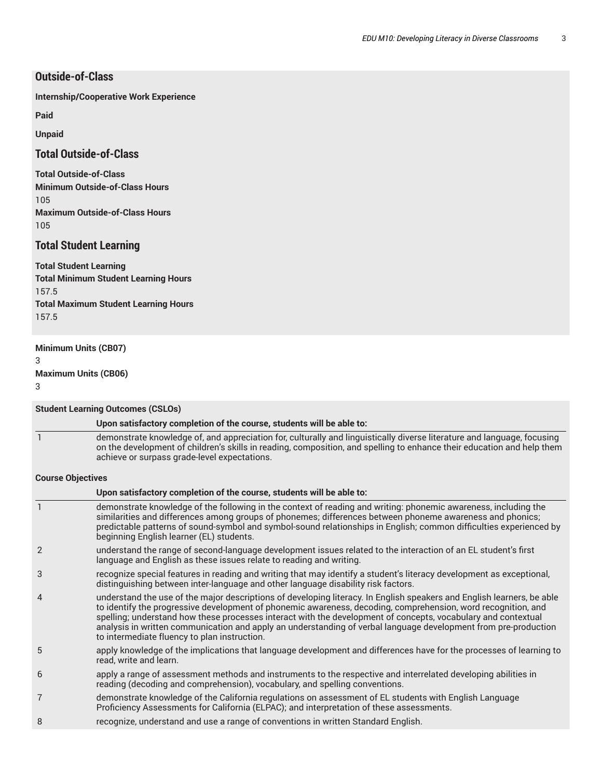### **Outside-of-Class**

**Internship/Cooperative Work Experience**

**Paid**

**Unpaid**

### **Total Outside-of-Class**

**Total Outside-of-Class Minimum Outside-of-Class Hours** 105 **Maximum Outside-of-Class Hours** 105

### **Total Student Learning**

**Total Student Learning Total Minimum Student Learning Hours** 157.5 **Total Maximum Student Learning Hours** 157.5

#### **Minimum Units (CB07)**

3

#### **Maximum Units (CB06)**

3

#### **Student Learning Outcomes (CSLOs)**

#### **Upon satisfactory completion of the course, students will be able to:**

1 demonstrate knowledge of, and appreciation for, culturally and linguistically diverse literature and language, focusing on the development of children's skills in reading, composition, and spelling to enhance their education and help them achieve or surpass grade-level expectations.

#### **Course Objectives**

|                | Upon satisfactory completion of the course, students will be able to:                                                                                                                                                                                                                                                                                                                                                                                                                                                       |
|----------------|-----------------------------------------------------------------------------------------------------------------------------------------------------------------------------------------------------------------------------------------------------------------------------------------------------------------------------------------------------------------------------------------------------------------------------------------------------------------------------------------------------------------------------|
|                | demonstrate knowledge of the following in the context of reading and writing: phonemic awareness, including the<br>similarities and differences among groups of phonemes; differences between phoneme awareness and phonics;<br>predictable patterns of sound-symbol and symbol-sound relationships in English; common difficulties experienced by<br>beginning English learner (EL) students.                                                                                                                              |
| 2              | understand the range of second-language development issues related to the interaction of an EL student's first<br>language and English as these issues relate to reading and writing.                                                                                                                                                                                                                                                                                                                                       |
| 3              | recognize special features in reading and writing that may identify a student's literacy development as exceptional,<br>distinguishing between inter-language and other language disability risk factors.                                                                                                                                                                                                                                                                                                                   |
| $\overline{4}$ | understand the use of the major descriptions of developing literacy. In English speakers and English learners, be able<br>to identify the progressive development of phonemic awareness, decoding, comprehension, word recognition, and<br>spelling; understand how these processes interact with the development of concepts, vocabulary and contextual<br>analysis in written communication and apply an understanding of verbal language development from pre-production<br>to intermediate fluency to plan instruction. |
| 5              | apply knowledge of the implications that language development and differences have for the processes of learning to<br>read, write and learn.                                                                                                                                                                                                                                                                                                                                                                               |
| 6              | apply a range of assessment methods and instruments to the respective and interrelated developing abilities in<br>reading (decoding and comprehension), vocabulary, and spelling conventions.                                                                                                                                                                                                                                                                                                                               |
| 7              | demonstrate knowledge of the California regulations on assessment of EL students with English Language<br>Proficiency Assessments for California (ELPAC); and interpretation of these assessments.                                                                                                                                                                                                                                                                                                                          |
| 8              | recognize, understand and use a range of conventions in written Standard English.                                                                                                                                                                                                                                                                                                                                                                                                                                           |
|                |                                                                                                                                                                                                                                                                                                                                                                                                                                                                                                                             |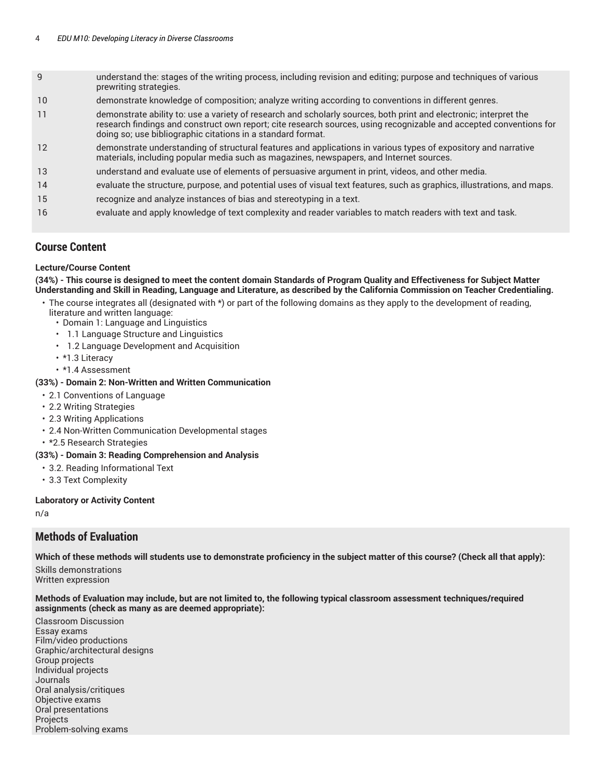- 9 understand the: stages of the writing process, including revision and editing; purpose and techniques of various prewriting strategies.
- 10 demonstrate knowledge of composition; analyze writing according to conventions in different genres.
- 11 demonstrate ability to: use a variety of research and scholarly sources, both print and electronic; interpret the research findings and construct own report; cite research sources, using recognizable and accepted conventions for doing so; use bibliographic citations in a standard format.
- 12 demonstrate understanding of structural features and applications in various types of expository and narrative materials, including popular media such as magazines, newspapers, and Internet sources.
- 13 understand and evaluate use of elements of persuasive argument in print, videos, and other media.
- 14 evaluate the structure, purpose, and potential uses of visual text features, such as graphics, illustrations, and maps.
- 15 recognize and analyze instances of bias and stereotyping in a text.
- 16 evaluate and apply knowledge of text complexity and reader variables to match readers with text and task.

### **Course Content**

#### **Lecture/Course Content**

(34%) - This course is designed to meet the content domain Standards of Program Quality and Effectiveness for Subject Matter Understanding and Skill in Reading, Language and Literature, as described by the California Commission on Teacher Credentialing.

- The course integrates all (designated with \*) or part of the following domains as they apply to the development of reading, literature and written language:
	- Domain 1: Language and Linguistics
	- 1.1 Language Structure and Linguistics
	- 1.2 Language Development and Acquisition
	- \*1.3 Literacy
	- \*1.4 Assessment

#### **(33%) - Domain 2: Non-Written and Written Communication**

- 2.1 Conventions of Language
- 2.2 Writing Strategies
- 2.3 Writing Applications
- 2.4 Non-Written Communication Developmental stages
- \*2.5 Research Strategies

#### **(33%) - Domain 3: Reading Comprehension and Analysis**

- 3.2. Reading Informational Text
- 3.3 Text Complexity

#### **Laboratory or Activity Content**

n/a

### **Methods of Evaluation**

**Which of these methods will students use to demonstrate proficiency in the subject matter of this course? (Check all that apply):** Skills demonstrations

Written expression

Methods of Evaluation may include, but are not limited to, the following typical classroom assessment techniques/required **assignments (check as many as are deemed appropriate):**

Classroom Discussion Essay exams Film/video productions Graphic/architectural designs Group projects Individual projects Journals Oral analysis/critiques Objective exams Oral presentations Projects Problem-solving exams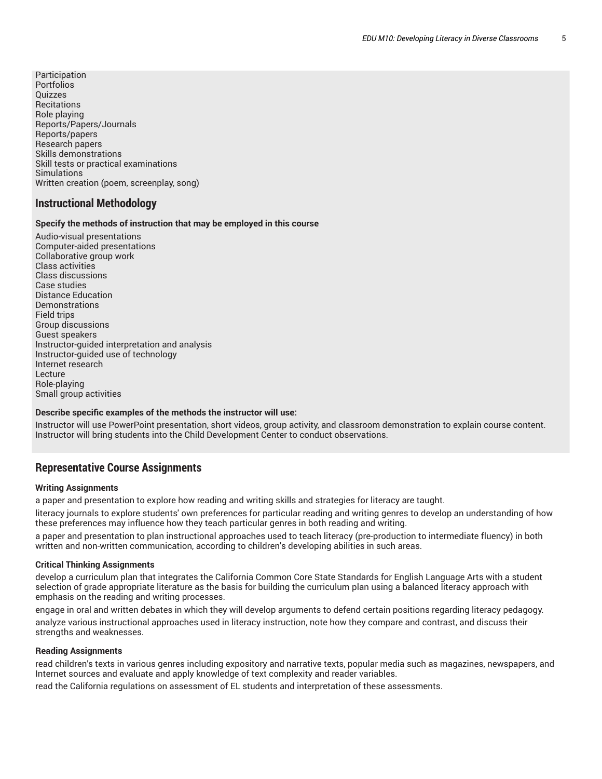Participation Portfolios Quizzes **Recitations** Role playing Reports/Papers/Journals Reports/papers Research papers Skills demonstrations Skill tests or practical examinations Simulations Written creation (poem, screenplay, song)

### **Instructional Methodology**

#### **Specify the methods of instruction that may be employed in this course**

Audio-visual presentations Computer-aided presentations Collaborative group work Class activities Class discussions Case studies Distance Education **Demonstrations** Field trips Group discussions Guest speakers Instructor-guided interpretation and analysis Instructor-guided use of technology Internet research Lecture Role-playing Small group activities

#### **Describe specific examples of the methods the instructor will use:**

Instructor will use PowerPoint presentation, short videos, group activity, and classroom demonstration to explain course content. Instructor will bring students into the Child Development Center to conduct observations.

#### **Representative Course Assignments**

#### **Writing Assignments**

a paper and presentation to explore how reading and writing skills and strategies for literacy are taught.

literacy journals to explore students' own preferences for particular reading and writing genres to develop an understanding of how these preferences may influence how they teach particular genres in both reading and writing.

a paper and presentation to plan instructional approaches used to teach literacy (pre-production to intermediate fluency) in both written and non-written communication, according to children's developing abilities in such areas.

#### **Critical Thinking Assignments**

develop a curriculum plan that integrates the California Common Core State Standards for English Language Arts with a student selection of grade appropriate literature as the basis for building the curriculum plan using a balanced literacy approach with emphasis on the reading and writing processes.

engage in oral and written debates in which they will develop arguments to defend certain positions regarding literacy pedagogy. analyze various instructional approaches used in literacy instruction, note how they compare and contrast, and discuss their strengths and weaknesses.

#### **Reading Assignments**

read children's texts in various genres including expository and narrative texts, popular media such as magazines, newspapers, and Internet sources and evaluate and apply knowledge of text complexity and reader variables.

read the California regulations on assessment of EL students and interpretation of these assessments.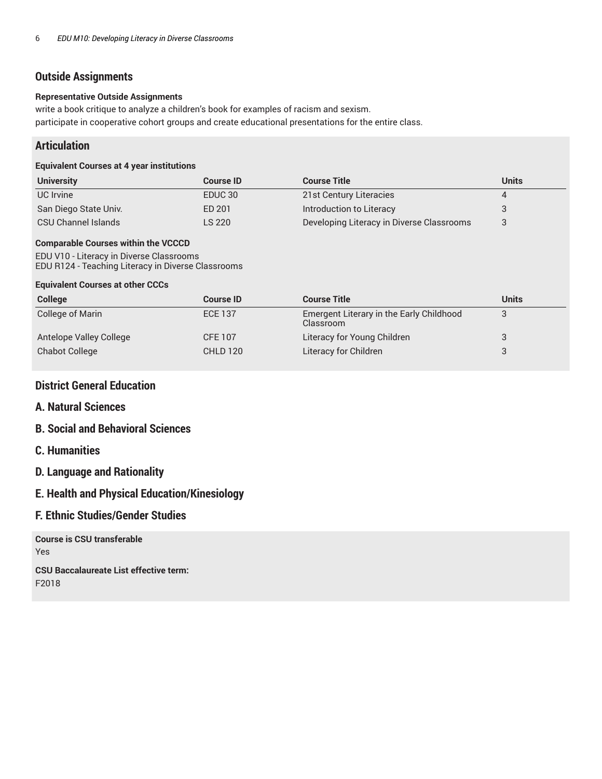### **Outside Assignments**

#### **Representative Outside Assignments**

write a book critique to analyze a children's book for examples of racism and sexism. participate in cooperative cohort groups and create educational presentations for the entire class.

### **Articulation**

#### **Equivalent Courses at 4 year institutions**

| <b>University</b>     | <b>Course ID</b>   | <b>Course Title</b>                       | <b>Units</b> |
|-----------------------|--------------------|-------------------------------------------|--------------|
| UC Irvine             | EDUC <sub>30</sub> | 21st Century Literacies                   |              |
| San Diego State Univ. | ED 201             | Introduction to Literacy                  |              |
| CSU Channel Islands   | LS 220             | Developing Literacy in Diverse Classrooms |              |

### **Comparable Courses within the VCCCD**

EDU V10 - Literacy in Diverse Classrooms EDU R124 - Teaching Literacy in Diverse Classrooms

#### **Equivalent Courses at other CCCs**

| <b>College</b>          | <b>Course ID</b> | <b>Course Title</b>                                          | <b>Units</b> |
|-------------------------|------------------|--------------------------------------------------------------|--------------|
| <b>College of Marin</b> | <b>ECE 137</b>   | <b>Emergent Literary in the Early Childhood</b><br>Classroom |              |
| Antelope Valley College | <b>CFE 107</b>   | Literacy for Young Children                                  |              |
| <b>Chabot College</b>   | <b>CHLD 120</b>  | Literacy for Children                                        |              |

### **District General Education**

### **A. Natural Sciences**

### **B. Social and Behavioral Sciences**

### **C. Humanities**

### **D. Language and Rationality**

### **E. Health and Physical Education/Kinesiology**

### **F. Ethnic Studies/Gender Studies**

**Course is CSU transferable** Yes **CSU Baccalaureate List effective term:** F2018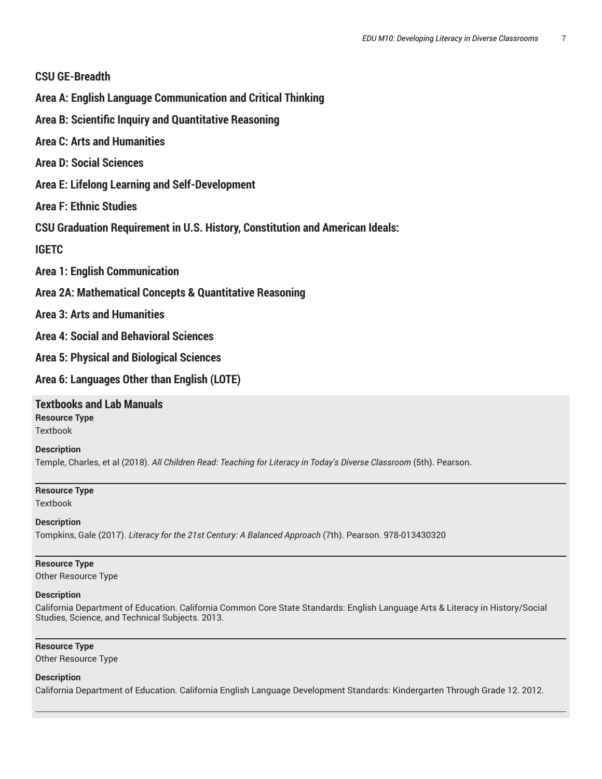### **CSU GE-Breadth**

**Area A: English Language Communication and Critical Thinking**

- **Area B: Scientific Inquiry and Quantitative Reasoning**
- **Area C: Arts and Humanities**
- **Area D: Social Sciences**
- **Area E: Lifelong Learning and Self-Development**
- **Area F: Ethnic Studies**
- **CSU Graduation Requirement in U.S. History, Constitution and American Ideals:**

### **IGETC**

- **Area 1: English Communication**
- **Area 2A: Mathematical Concepts & Quantitative Reasoning**
- **Area 3: Arts and Humanities**
- **Area 4: Social and Behavioral Sciences**
- **Area 5: Physical and Biological Sciences**
- **Area 6: Languages Other than English (LOTE)**

## **Textbooks and Lab Manuals**

**Resource Type Textbook** 

### **Description**

Temple, Charles, et al (2018). *All Children Read: Teaching for Literacy in Today's Diverse Classroom* (5th). Pearson.

# **Resource Type**

**Textbook** 

### **Description**

Tompkins, Gale (2017). *Literacy for the 21st Century: A Balanced Approach* (7th). Pearson. 978-013430320

#### **Resource Type** Other Resource Type

#### **Description**

California Department of Education. California Common Core State Standards: English Language Arts & Literacy in History/Social Studies, Science, and Technical Subjects. 2013.

### **Resource Type**

Other Resource Type

#### **Description**

California Department of Education. California English Language Development Standards: Kindergarten Through Grade 12. 2012.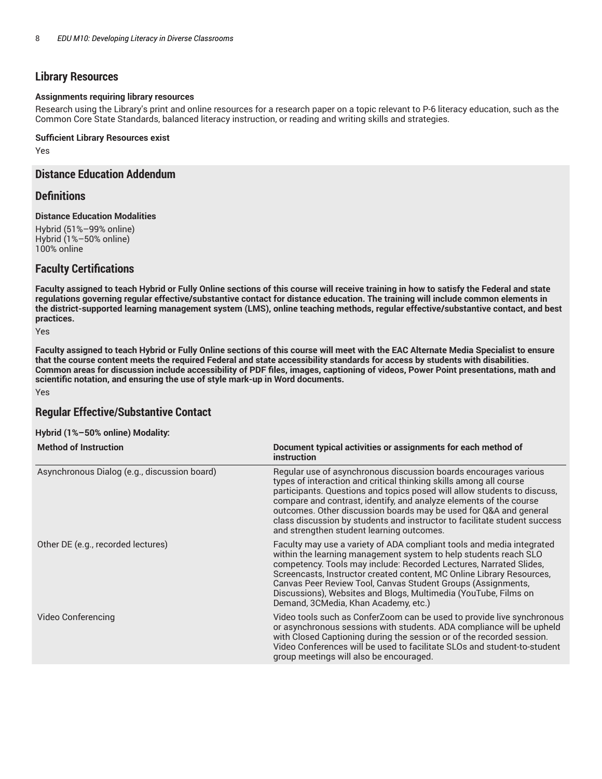### **Library Resources**

#### **Assignments requiring library resources**

Research using the Library's print and online resources for a research paper on a topic relevant to P-6 literacy education, such as the Common Core State Standards, balanced literacy instruction, or reading and writing skills and strategies.

#### **Sufficient Library Resources exist**

Yes

### **Distance Education Addendum**

#### **Definitions**

#### **Distance Education Modalities**

Hybrid (51%–99% online) Hybrid (1%–50% online) 100% online

### **Faculty Certifications**

Faculty assigned to teach Hybrid or Fully Online sections of this course will receive training in how to satisfy the Federal and state regulations governing regular effective/substantive contact for distance education. The training will include common elements in the district-supported learning management system (LMS), online teaching methods, regular effective/substantive contact, and best **practices.**

Yes

Faculty assigned to teach Hybrid or Fully Online sections of this course will meet with the EAC Alternate Media Specialist to ensure that the course content meets the required Federal and state accessibility standards for access by students with disabilities. Common areas for discussion include accessibility of PDF files, images, captioning of videos, Power Point presentations, math and **scientific notation, and ensuring the use of style mark-up in Word documents.** Yes

### **Regular Effective/Substantive Contact**

#### **Hybrid (1%–50% online) Modality:**

| <b>Method of Instruction</b>                 | Document typical activities or assignments for each method of<br><i>instruction</i>                                                                                                                                                                                                                                                                                                                                                                                                     |
|----------------------------------------------|-----------------------------------------------------------------------------------------------------------------------------------------------------------------------------------------------------------------------------------------------------------------------------------------------------------------------------------------------------------------------------------------------------------------------------------------------------------------------------------------|
| Asynchronous Dialog (e.g., discussion board) | Regular use of asynchronous discussion boards encourages various<br>types of interaction and critical thinking skills among all course<br>participants. Questions and topics posed will allow students to discuss,<br>compare and contrast, identify, and analyze elements of the course<br>outcomes. Other discussion boards may be used for Q&A and general<br>class discussion by students and instructor to facilitate student success<br>and strengthen student learning outcomes. |
| Other DE (e.g., recorded lectures)           | Faculty may use a variety of ADA compliant tools and media integrated<br>within the learning management system to help students reach SLO<br>competency. Tools may include: Recorded Lectures, Narrated Slides,<br>Screencasts, Instructor created content, MC Online Library Resources,<br>Canvas Peer Review Tool, Canvas Student Groups (Assignments,<br>Discussions), Websites and Blogs, Multimedia (YouTube, Films on<br>Demand, 3CMedia, Khan Academy, etc.)                     |
| Video Conferencing                           | Video tools such as ConferZoom can be used to provide live synchronous<br>or asynchronous sessions with students. ADA compliance will be upheld<br>with Closed Captioning during the session or of the recorded session.<br>Video Conferences will be used to facilitate SLOs and student-to-student<br>group meetings will also be encouraged.                                                                                                                                         |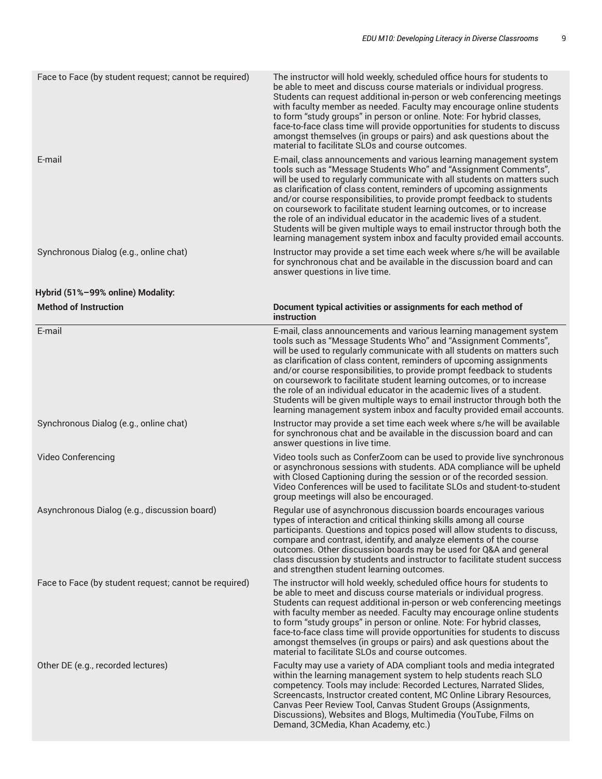| Face to Face (by student request; cannot be required) | The instructor will hold weekly, scheduled office hours for students to<br>be able to meet and discuss course materials or individual progress.<br>Students can request additional in-person or web conferencing meetings<br>with faculty member as needed. Faculty may encourage online students<br>to form "study groups" in person or online. Note: For hybrid classes,<br>face-to-face class time will provide opportunities for students to discuss<br>amongst themselves (in groups or pairs) and ask questions about the<br>material to facilitate SLOs and course outcomes.                                                                                         |
|-------------------------------------------------------|-----------------------------------------------------------------------------------------------------------------------------------------------------------------------------------------------------------------------------------------------------------------------------------------------------------------------------------------------------------------------------------------------------------------------------------------------------------------------------------------------------------------------------------------------------------------------------------------------------------------------------------------------------------------------------|
| E-mail                                                | E-mail, class announcements and various learning management system<br>tools such as "Message Students Who" and "Assignment Comments",<br>will be used to regularly communicate with all students on matters such<br>as clarification of class content, reminders of upcoming assignments<br>and/or course responsibilities, to provide prompt feedback to students<br>on coursework to facilitate student learning outcomes, or to increase<br>the role of an individual educator in the academic lives of a student.<br>Students will be given multiple ways to email instructor through both the<br>learning management system inbox and faculty provided email accounts. |
| Synchronous Dialog (e.g., online chat)                | Instructor may provide a set time each week where s/he will be available<br>for synchronous chat and be available in the discussion board and can<br>answer questions in live time.                                                                                                                                                                                                                                                                                                                                                                                                                                                                                         |
| Hybrid (51%-99% online) Modality:                     |                                                                                                                                                                                                                                                                                                                                                                                                                                                                                                                                                                                                                                                                             |
| <b>Method of Instruction</b>                          | Document typical activities or assignments for each method of<br><i>instruction</i>                                                                                                                                                                                                                                                                                                                                                                                                                                                                                                                                                                                         |
| E-mail                                                | E-mail, class announcements and various learning management system<br>tools such as "Message Students Who" and "Assignment Comments",<br>will be used to regularly communicate with all students on matters such<br>as clarification of class content, reminders of upcoming assignments<br>and/or course responsibilities, to provide prompt feedback to students<br>on coursework to facilitate student learning outcomes, or to increase<br>the role of an individual educator in the academic lives of a student.<br>Students will be given multiple ways to email instructor through both the<br>learning management system inbox and faculty provided email accounts. |
| Synchronous Dialog (e.g., online chat)                | Instructor may provide a set time each week where s/he will be available<br>for synchronous chat and be available in the discussion board and can<br>answer questions in live time.                                                                                                                                                                                                                                                                                                                                                                                                                                                                                         |
| Video Conferencing                                    | Video tools such as ConferZoom can be used to provide live synchronous<br>or asynchronous sessions with students. ADA compliance will be upheld<br>with Closed Captioning during the session or of the recorded session.<br>Video Conferences will be used to facilitate SLOs and student-to-student<br>group meetings will also be encouraged.                                                                                                                                                                                                                                                                                                                             |
| Asynchronous Dialog (e.g., discussion board)          | Regular use of asynchronous discussion boards encourages various<br>types of interaction and critical thinking skills among all course<br>participants. Questions and topics posed will allow students to discuss,<br>compare and contrast, identify, and analyze elements of the course<br>outcomes. Other discussion boards may be used for Q&A and general<br>class discussion by students and instructor to facilitate student success<br>and strengthen student learning outcomes.                                                                                                                                                                                     |
| Face to Face (by student request; cannot be required) | The instructor will hold weekly, scheduled office hours for students to<br>be able to meet and discuss course materials or individual progress.<br>Students can request additional in-person or web conferencing meetings<br>with faculty member as needed. Faculty may encourage online students<br>to form "study groups" in person or online. Note: For hybrid classes,<br>face-to-face class time will provide opportunities for students to discuss<br>amongst themselves (in groups or pairs) and ask questions about the<br>material to facilitate SLOs and course outcomes.                                                                                         |
| Other DE (e.g., recorded lectures)                    | Faculty may use a variety of ADA compliant tools and media integrated<br>within the learning management system to help students reach SLO<br>competency. Tools may include: Recorded Lectures, Narrated Slides,<br>Screencasts, Instructor created content, MC Online Library Resources,<br>Canvas Peer Review Tool, Canvas Student Groups (Assignments,<br>Discussions), Websites and Blogs, Multimedia (YouTube, Films on<br>Demand, 3CMedia, Khan Academy, etc.)                                                                                                                                                                                                         |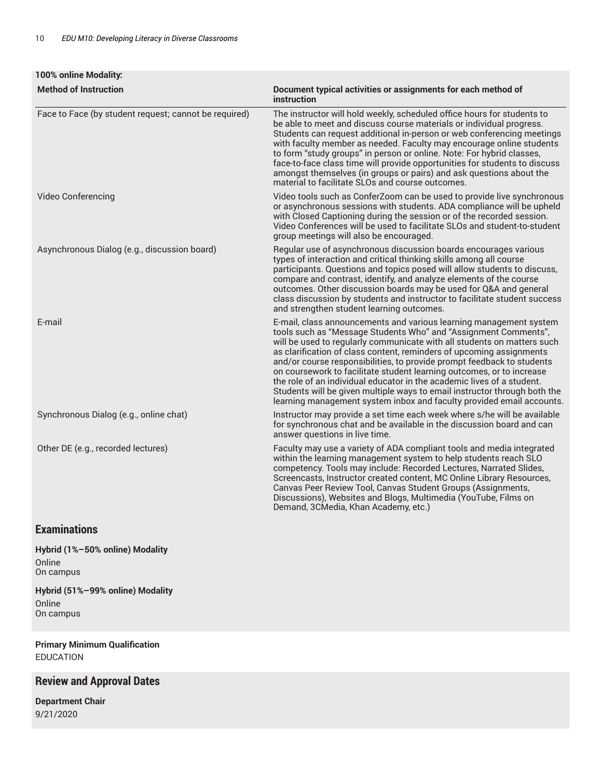| 100% online Modality:                                 |                                                                                                                                                                                                                                                                                                                                                                                                                                                                                                                                                                                                                                                                             |
|-------------------------------------------------------|-----------------------------------------------------------------------------------------------------------------------------------------------------------------------------------------------------------------------------------------------------------------------------------------------------------------------------------------------------------------------------------------------------------------------------------------------------------------------------------------------------------------------------------------------------------------------------------------------------------------------------------------------------------------------------|
| <b>Method of Instruction</b>                          | Document typical activities or assignments for each method of<br>instruction                                                                                                                                                                                                                                                                                                                                                                                                                                                                                                                                                                                                |
| Face to Face (by student request; cannot be required) | The instructor will hold weekly, scheduled office hours for students to<br>be able to meet and discuss course materials or individual progress.<br>Students can request additional in-person or web conferencing meetings<br>with faculty member as needed. Faculty may encourage online students<br>to form "study groups" in person or online. Note: For hybrid classes,<br>face-to-face class time will provide opportunities for students to discuss<br>amongst themselves (in groups or pairs) and ask questions about the<br>material to facilitate SLOs and course outcomes.                                                                                         |
| Video Conferencing                                    | Video tools such as ConferZoom can be used to provide live synchronous<br>or asynchronous sessions with students. ADA compliance will be upheld<br>with Closed Captioning during the session or of the recorded session.<br>Video Conferences will be used to facilitate SLOs and student-to-student<br>group meetings will also be encouraged.                                                                                                                                                                                                                                                                                                                             |
| Asynchronous Dialog (e.g., discussion board)          | Regular use of asynchronous discussion boards encourages various<br>types of interaction and critical thinking skills among all course<br>participants. Questions and topics posed will allow students to discuss,<br>compare and contrast, identify, and analyze elements of the course<br>outcomes. Other discussion boards may be used for Q&A and general<br>class discussion by students and instructor to facilitate student success<br>and strengthen student learning outcomes.                                                                                                                                                                                     |
| E-mail                                                | E-mail, class announcements and various learning management system<br>tools such as "Message Students Who" and "Assignment Comments",<br>will be used to regularly communicate with all students on matters such<br>as clarification of class content, reminders of upcoming assignments<br>and/or course responsibilities, to provide prompt feedback to students<br>on coursework to facilitate student learning outcomes, or to increase<br>the role of an individual educator in the academic lives of a student.<br>Students will be given multiple ways to email instructor through both the<br>learning management system inbox and faculty provided email accounts. |
| Synchronous Dialog (e.g., online chat)                | Instructor may provide a set time each week where s/he will be available<br>for synchronous chat and be available in the discussion board and can<br>answer questions in live time.                                                                                                                                                                                                                                                                                                                                                                                                                                                                                         |
| Other DE (e.g., recorded lectures)                    | Faculty may use a variety of ADA compliant tools and media integrated<br>within the learning management system to help students reach SLO<br>competency. Tools may include: Recorded Lectures, Narrated Slides,<br>Screencasts, Instructor created content, MC Online Library Resources,<br>Canvas Peer Review Tool, Canvas Student Groups (Assignments,<br>Discussions), Websites and Blogs, Multimedia (YouTube, Films on<br>Demand, 3CMedia, Khan Academy, etc.)                                                                                                                                                                                                         |

### **Examinations**

**Hybrid (1%–50% online) Modality** Online On campus

**Hybrid (51%–99% online) Modality** Online On campus

**Primary Minimum Qualification** EDUCATION

### **Review and Approval Dates**

**Department Chair** 9/21/2020